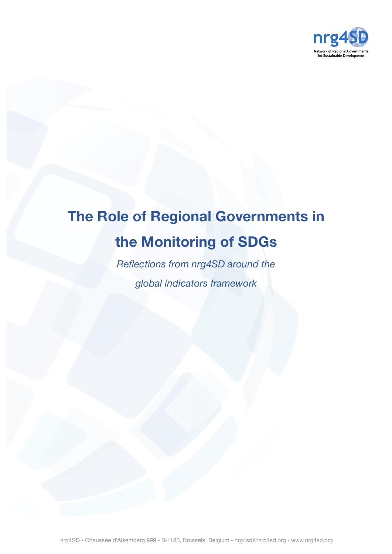

# **The Role of Regional Governments in the Monitoring of SDGs**

*Reflections from nrg4SD around the global indicators framework*

nrg4SD - Chaussée d'Alsemberg 999 - B-1180, Brussels, Belgium - nrg4sd@nrg4sd.org - www.nrg4sd.org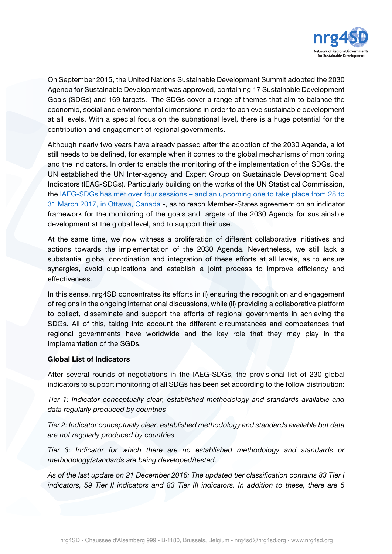

On September 2015, the United Nations Sustainable Development Summit adopted the 2030 Agenda for Sustainable Development was approved, containing 17 Sustainable Development Goals (SDGs) and 169 targets. The SDGs cover a range of themes that aim to balance the economic, social and environmental dimensions in order to achieve sustainable development at all levels. With a special focus on the subnational level, there is a huge potential for the contribution and engagement of regional governments.

Although nearly two years have already passed after the adoption of the 2030 Agenda, a lot still needs to be defined, for example when it comes to the global mechanisms of monitoring and the indicators. In order to enable the monitoring of the implementation of the SDGs, the UN established the UN Inter-agency and Expert Group on Sustainable Development Goal Indicators (IEAG-SDGs). Particularly building on the works of the UN Statistical Commission, the IAEG-SDGs has met over four sessions – and an upcoming one to take place from 28 to 31 March 2017, in Ottawa, Canada -, as to reach Member-States agreement on an indicator framework for the monitoring of the goals and targets of the 2030 Agenda for sustainable development at the global level, and to support their use.

At the same time, we now witness a proliferation of different collaborative initiatives and actions towards the implementation of the 2030 Agenda. Nevertheless, we still lack a substantial global coordination and integration of these efforts at all levels, as to ensure synergies, avoid duplications and establish a joint process to improve efficiency and effectiveness.

In this sense, nrg4SD concentrates its efforts in (i) ensuring the recognition and engagement of regions in the ongoing international discussions, while (ii) providing a collaborative platform to collect, disseminate and support the efforts of regional governments in achieving the SDGs. All of this, taking into account the different circumstances and competences that regional governments have worldwide and the key role that they may play in the implementation of the SGDs.

## **Global List of Indicators**

After several rounds of negotiations in the IAEG-SDGs, the provisional list of 230 global indicators to support monitoring of all SDGs has been set according to the follow distribution:

*Tier 1: Indicator conceptually clear, established methodology and standards available and data regularly produced by countries* 

*Tier 2: Indicator conceptually clear, established methodology and standards available but data are not regularly produced by countries* 

*Tier 3: Indicator for which there are no established methodology and standards or methodology/standards are being developed/tested.* 

*As of the last update on 21 December 2016: The updated tier classification contains 83 Tier I indicators, 59 Tier II indicators and 83 Tier III indicators. In addition to these, there are 5*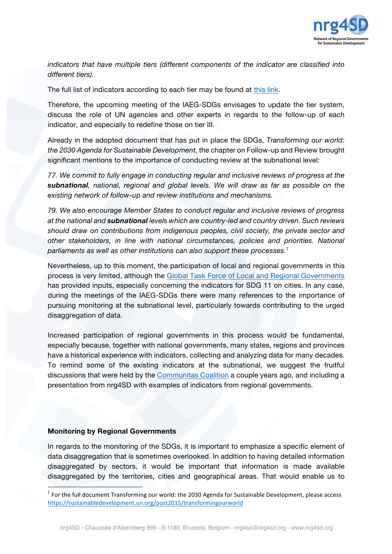

*indicators that have multiple tiers (different components of the indicator are classified into different tiers).*

The full list of indicators according to each tier may be found at this link.

Therefore, the upcoming meeting of the IAEG-SDGs envisages to update the tier system, discuss the role of UN agencies and other experts in regards to the follow-up of each indicator, and especially to redefine those on tier III.

Already in the adopted document that has put in place the SDGs, *Transforming our world: the 2030 Agenda for Sustainable Development*, the chapter on Follow-up and Review brought significant mentions to the importance of conducting review at the subnational level:

*77. We commit to fully engage in conducting regular and inclusive reviews of progress at the subnational, national, regional and global levels. We will draw as far as possible on the existing network of follow-up and review institutions and mechanisms.*

*79. We also encourage Member States to conduct regular and inclusive reviews of progress at the national and subnational levels which are country-led and country driven. Such reviews should draw on contributions from indigenous peoples, civil society, the private sector and other stakeholders, in line with national circumstances, policies and priorities. National parliaments as well as other institutions can also support these processes.1*

Nevertheless, up to this moment, the participation of local and regional governments in this process is very limited, although the Global Task Force of Local and Regional Governments has provided inputs, especially concerning the indicators for SDG 11 on cities. In any case, during the meetings of the IAEG-SDGs there were many references to the importance of pursuing monitoring at the subnational level, particularly towards contributing to the urged disaggregation of data.

Increased participation of regional governments in this process would be fundamental, especially because, together with national governments, many states, regions and provinces have a historical experience with indicators, collecting and analyzing data for many decades. To remind some of the existing indicators at the subnational, we suggest the fruitful discussions that were held by the Communitas Coalition a couple years ago, and including a presentation from nrg4SD with examples of indicators from regional governments.

## **Monitoring by Regional Governments**

<u> Andrew Maria (1986)</u>

In regards to the monitoring of the SDGs, it is important to emphasize a specific element of data disaggregation that is sometimes overlooked. In addition to having detailed information disaggregated by sectors, it would be important that information is made available disaggregated by the territories, cities and geographical areas. That would enable us to

 $<sup>1</sup>$  For the full document Transforming our world: the 2030 Agenda for Sustainable Development, please access</sup> https://sustainabledevelopment.un.org/post2015/transformingourworld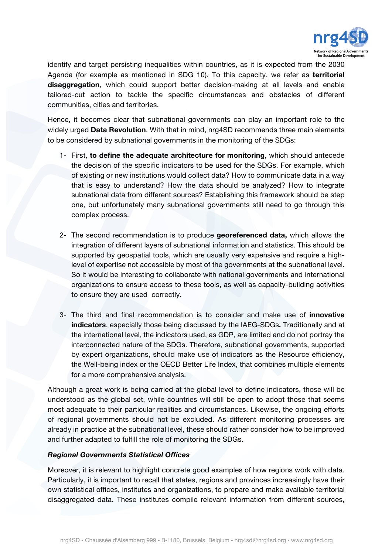

identify and target persisting inequalities within countries, as it is expected from the 2030 Agenda (for example as mentioned in SDG 10). To this capacity, we refer as **territorial disaggregation**, which could support better decision-making at all levels and enable tailored-cut action to tackle the specific circumstances and obstacles of different communities, cities and territories.

Hence, it becomes clear that subnational governments can play an important role to the widely urged **Data Revolution**. With that in mind, nrg4SD recommends three main elements to be considered by subnational governments in the monitoring of the SDGs:

- 1- First, **to define the adequate architecture for monitoring**, which should antecede the decision of the specific indicators to be used for the SDGs. For example, which of existing or new institutions would collect data? How to communicate data in a way that is easy to understand? How the data should be analyzed? How to integrate subnational data from different sources? Establishing this framework should be step one, but unfortunately many subnational governments still need to go through this complex process.
- 2- The second recommendation is to produce **georeferenced data,** which allows the integration of different layers of subnational information and statistics. This should be supported by geospatial tools, which are usually very expensive and require a highlevel of expertise not accessible by most of the governments at the subnational level. So it would be interesting to collaborate with national governments and international organizations to ensure access to these tools, as well as capacity-building activities to ensure they are used correctly.
- 3- The third and final recommendation is to consider and make use of **innovative indicators**, especially those being discussed by the IAEG-SDGs**.** Traditionally and at the international level, the indicators used, as GDP, are limited and do not portray the interconnected nature of the SDGs. Therefore, subnational governments, supported by expert organizations, should make use of indicators as the Resource efficiency, the Well-being index or the OECD Better Life Index, that combines multiple elements for a more comprehensive analysis.

Although a great work is being carried at the global level to define indicators, those will be understood as the global set, while countries will still be open to adopt those that seems most adequate to their particular realities and circumstances. Likewise, the ongoing efforts of regional governments should not be excluded. As different monitoring processes are already in practice at the subnational level, these should rather consider how to be improved and further adapted to fulfill the role of monitoring the SDGs.

## *Regional Governments Statistical Offices*

Moreover, it is relevant to highlight concrete good examples of how regions work with data. Particularly, it is important to recall that states, regions and provinces increasingly have their own statistical offices, institutes and organizations, to prepare and make available territorial disaggregated data. These institutes compile relevant information from different sources,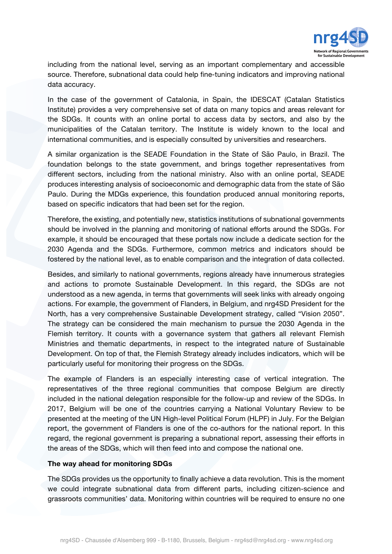

including from the national level, serving as an important complementary and accessible source. Therefore, subnational data could help fine-tuning indicators and improving national data accuracy.

In the case of the government of Catalonia, in Spain, the IDESCAT (Catalan Statistics Institute) provides a very comprehensive set of data on many topics and areas relevant for the SDGs. It counts with an online portal to access data by sectors, and also by the municipalities of the Catalan territory. The Institute is widely known to the local and international communities, and is especially consulted by universities and researchers.

A similar organization is the SEADE Foundation in the State of São Paulo, in Brazil. The foundation belongs to the state government, and brings together representatives from different sectors, including from the national ministry. Also with an online portal, SEADE produces interesting analysis of socioeconomic and demographic data from the state of São Paulo. During the MDGs experience, this foundation produced annual monitoring reports, based on specific indicators that had been set for the region.

Therefore, the existing, and potentially new, statistics institutions of subnational governments should be involved in the planning and monitoring of national efforts around the SDGs. For example, it should be encouraged that these portals now include a dedicate section for the 2030 Agenda and the SDGs. Furthermore, common metrics and indicators should be fostered by the national level, as to enable comparison and the integration of data collected.

Besides, and similarly to national governments, regions already have innumerous strategies and actions to promote Sustainable Development. In this regard, the SDGs are not understood as a new agenda, in terms that governments will seek links with already ongoing actions. For example, the government of Flanders, in Belgium, and nrg4SD President for the North, has a very comprehensive Sustainable Development strategy, called "Vision 2050". The strategy can be considered the main mechanism to pursue the 2030 Agenda in the Flemish territory. It counts with a governance system that gathers all relevant Flemish Ministries and thematic departments, in respect to the integrated nature of Sustainable Development. On top of that, the Flemish Strategy already includes indicators, which will be particularly useful for monitoring their progress on the SDGs.

The example of Flanders is an especially interesting case of vertical integration. The representatives of the three regional communities that compose Belgium are directly included in the national delegation responsible for the follow-up and review of the SDGs. In 2017, Belgium will be one of the countries carrying a National Voluntary Review to be presented at the meeting of the UN High-level Political Forum (HLPF) in July. For the Belgian report, the government of Flanders is one of the co-authors for the national report. In this regard, the regional government is preparing a subnational report, assessing their efforts in the areas of the SDGs, which will then feed into and compose the national one.

## **The way ahead for monitoring SDGs**

The SDGs provides us the opportunity to finally achieve a data revolution. This is the moment we could integrate subnational data from different parts, including citizen-science and grassroots communities' data. Monitoring within countries will be required to ensure no one